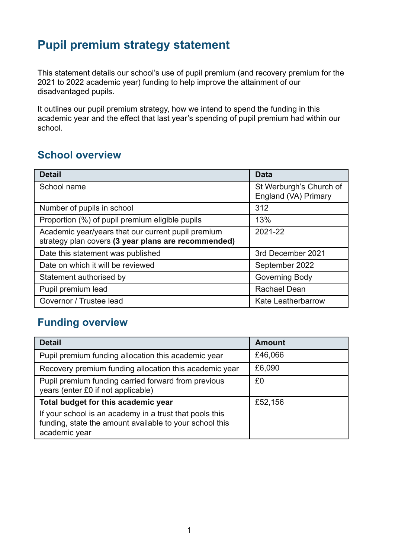# **Pupil premium strategy statement**

This statement details our school's use of pupil premium (and recovery premium for the 2021 to 2022 academic year) funding to help improve the attainment of our disadvantaged pupils.

It outlines our pupil premium strategy, how we intend to spend the funding in this academic year and the effect that last year's spending of pupil premium had within our school.

## **School overview**

| <b>Detail</b>                                                                                             | <b>Data</b>                                     |
|-----------------------------------------------------------------------------------------------------------|-------------------------------------------------|
| School name                                                                                               | St Werburgh's Church of<br>England (VA) Primary |
| Number of pupils in school                                                                                | 312                                             |
| Proportion (%) of pupil premium eligible pupils                                                           | 13%                                             |
| Academic year/years that our current pupil premium<br>strategy plan covers (3 year plans are recommended) | 2021-22                                         |
| Date this statement was published                                                                         | 3rd December 2021                               |
| Date on which it will be reviewed                                                                         | September 2022                                  |
| Statement authorised by                                                                                   | Governing Body                                  |
| Pupil premium lead                                                                                        | <b>Rachael Dean</b>                             |
| Governor / Trustee lead                                                                                   | <b>Kate Leatherbarrow</b>                       |

## **Funding overview**

| <b>Detail</b>                                                                                                                       | <b>Amount</b> |
|-------------------------------------------------------------------------------------------------------------------------------------|---------------|
| Pupil premium funding allocation this academic year                                                                                 | £46,066       |
| Recovery premium funding allocation this academic year                                                                              | £6,090        |
| Pupil premium funding carried forward from previous<br>years (enter £0 if not applicable)                                           | £0            |
| Total budget for this academic year                                                                                                 | £52,156       |
| If your school is an academy in a trust that pools this<br>funding, state the amount available to your school this<br>academic year |               |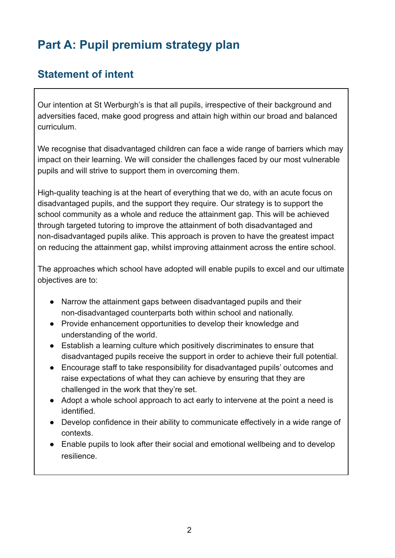# **Part A: Pupil premium strategy plan**

### **Statement of intent**

Our intention at St Werburgh's is that all pupils, irrespective of their background and adversities faced, make good progress and attain high within our broad and balanced curriculum.

We recognise that disadvantaged children can face a wide range of barriers which may impact on their learning. We will consider the challenges faced by our most vulnerable pupils and will strive to support them in overcoming them.

High-quality teaching is at the heart of everything that we do, with an acute focus on disadvantaged pupils, and the support they require. Our strategy is to support the school community as a whole and reduce the attainment gap. This will be achieved through targeted tutoring to improve the attainment of both disadvantaged and non-disadvantaged pupils alike. This approach is proven to have the greatest impact on reducing the attainment gap, whilst improving attainment across the entire school.

The approaches which school have adopted will enable pupils to excel and our ultimate objectives are to:

- Narrow the attainment gaps between disadvantaged pupils and their non-disadvantaged counterparts both within school and nationally.
- Provide enhancement opportunities to develop their knowledge and understanding of the world.
- Establish a learning culture which positively discriminates to ensure that disadvantaged pupils receive the support in order to achieve their full potential.
- Encourage staff to take responsibility for disadvantaged pupils' outcomes and raise expectations of what they can achieve by ensuring that they are challenged in the work that they're set.
- Adopt a whole school approach to act early to intervene at the point a need is identified.
- Develop confidence in their ability to communicate effectively in a wide range of contexts.
- Enable pupils to look after their social and emotional wellbeing and to develop resilience.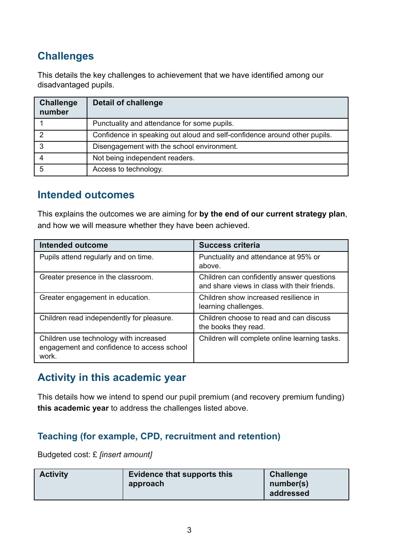# **Challenges**

This details the key challenges to achievement that we have identified among our disadvantaged pupils.

| <b>Challenge</b><br>number | <b>Detail of challenge</b>                                                |
|----------------------------|---------------------------------------------------------------------------|
|                            | Punctuality and attendance for some pupils.                               |
|                            | Confidence in speaking out aloud and self-confidence around other pupils. |
| 3                          | Disengagement with the school environment.                                |
| 4                          | Not being independent readers.                                            |
| 5                          | Access to technology.                                                     |

### **Intended outcomes**

This explains the outcomes we are aiming for **by the end of our current strategy plan**, and how we will measure whether they have been achieved.

| <b>Intended outcome</b>                                                                       | <b>Success criteria</b>                                                                   |
|-----------------------------------------------------------------------------------------------|-------------------------------------------------------------------------------------------|
| Pupils attend regularly and on time.                                                          | Punctuality and attendance at 95% or<br>above.                                            |
| Greater presence in the classroom.                                                            | Children can confidently answer questions<br>and share views in class with their friends. |
| Greater engagement in education.                                                              | Children show increased resilience in<br>learning challenges.                             |
| Children read independently for pleasure.                                                     | Children choose to read and can discuss<br>the books they read.                           |
| Children use technology with increased<br>engagement and confidence to access school<br>work. | Children will complete online learning tasks.                                             |

### **Activity in this academic year**

This details how we intend to spend our pupil premium (and recovery premium funding) **this academic year** to address the challenges listed above.

#### **Teaching (for example, CPD, recruitment and retention)**

Budgeted cost: £ *[insert amount]*

| <b>Activity</b> | Evidence that supports this<br>approach | <b>Challenge</b><br>number(s)<br>addressed |
|-----------------|-----------------------------------------|--------------------------------------------|
|                 |                                         |                                            |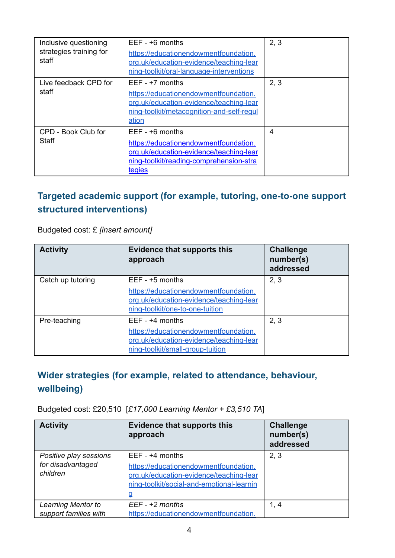| Inclusive questioning<br>strategies training for<br>staff | $EEF - +6$ months<br>https://educationendowmentfoundation.<br>org.uk/education-evidence/teaching-lear<br>ning-toolkit/oral-language-interventions           | 2, 3 |
|-----------------------------------------------------------|-------------------------------------------------------------------------------------------------------------------------------------------------------------|------|
| Live feedback CPD for<br>staff                            | $EEF - +7$ months<br>https://educationendowmentfoundation.<br>org.uk/education-evidence/teaching-lear<br>ning-toolkit/metacognition-and-self-regul<br>ation | 2, 3 |
| CPD - Book Club for<br>Staff                              | $EEF - +6$ months<br>https://educationendowmentfoundation.<br>org.uk/education-evidence/teaching-lear<br>ning-toolkit/reading-comprehension-stra<br>tegies  | 4    |

### **Targeted academic support (for example, tutoring, one-to-one support structured interventions)**

Budgeted cost: £ *[insert amount]*

| <b>Activity</b>   | <b>Evidence that supports this</b><br>approach                                                                       | <b>Challenge</b><br>number(s)<br>addressed |
|-------------------|----------------------------------------------------------------------------------------------------------------------|--------------------------------------------|
| Catch up tutoring | $EEF - +5$ months                                                                                                    | 2, 3                                       |
|                   | https://educationendowmentfoundation.<br>org.uk/education-evidence/teaching-lear<br>ning-toolkit/one-to-one-tuition  |                                            |
| Pre-teaching      | $EEF - +4$ months                                                                                                    | 2, 3                                       |
|                   | https://educationendowmentfoundation.<br>org.uk/education-evidence/teaching-lear<br>ning-toolkit/small-group-tuition |                                            |

### **Wider strategies (for example, related to attendance, behaviour, wellbeing)**

Budgeted cost: £20,510 [*£17,000 Learning Mentor + £3,510 TA*]

| <b>Activity</b>                                         | <b>Evidence that supports this</b><br>approach                                                                                                          | <b>Challenge</b><br>number(s)<br>addressed |
|---------------------------------------------------------|---------------------------------------------------------------------------------------------------------------------------------------------------------|--------------------------------------------|
| Positive play sessions<br>for disadvantaged<br>children | $EEF - +4$ months<br>https://educationendowmentfoundation.<br>org.uk/education-evidence/teaching-lear<br>ning-toolkit/social-and-emotional-learnin<br>₫ | 2, 3                                       |
| <b>Learning Mentor to</b><br>support families with      | $EEF - +2$ months<br>https://educationendowmentfoundation.                                                                                              | 1, 4                                       |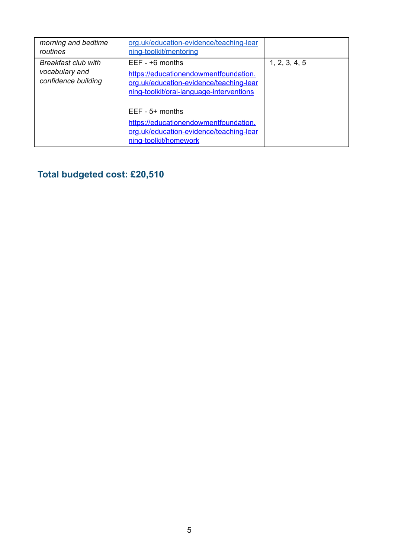| morning and bedtime<br>routines                                     | org.uk/education-evidence/teaching-lear<br>ning-toolkit/mentoring                                                                                 |               |
|---------------------------------------------------------------------|---------------------------------------------------------------------------------------------------------------------------------------------------|---------------|
| <b>Breakfast club with</b><br>vocabulary and<br>confidence building | $EEF - +6$ months<br>https://educationendowmentfoundation.<br>org.uk/education-evidence/teaching-lear<br>ning-toolkit/oral-language-interventions | 1, 2, 3, 4, 5 |
|                                                                     | $EEF - 5+$ months<br>https://educationendowmentfoundation.<br>org.uk/education-evidence/teaching-lear<br>ning-toolkit/homework                    |               |

# **Total budgeted cost: £20,510**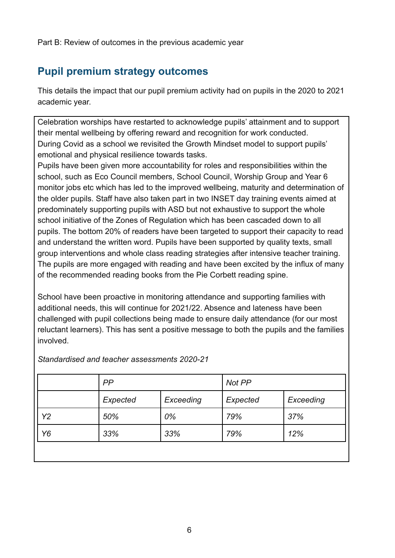Part B: Review of outcomes in the previous academic year

## **Pupil premium strategy outcomes**

This details the impact that our pupil premium activity had on pupils in the 2020 to 2021 academic year.

Celebration worships have restarted to acknowledge pupils' attainment and to support their mental wellbeing by offering reward and recognition for work conducted. During Covid as a school we revisited the Growth Mindset model to support pupils' emotional and physical resilience towards tasks.

Pupils have been given more accountability for roles and responsibilities within the school, such as Eco Council members, School Council, Worship Group and Year 6 monitor jobs etc which has led to the improved wellbeing, maturity and determination of the older pupils. Staff have also taken part in two INSET day training events aimed at predominately supporting pupils with ASD but not exhaustive to support the whole school initiative of the Zones of Regulation which has been cascaded down to all pupils. The bottom 20% of readers have been targeted to support their capacity to read and understand the written word. Pupils have been supported by quality texts, small group interventions and whole class reading strategies after intensive teacher training. The pupils are more engaged with reading and have been excited by the influx of many of the recommended reading books from the Pie Corbett reading spine.

School have been proactive in monitoring attendance and supporting families with additional needs, this will continue for 2021/22. Absence and lateness have been challenged with pupil collections being made to ensure daily attendance (for our most reluctant learners). This has sent a positive message to both the pupils and the families involved.

|                | PP       |           | Not PP   |           |
|----------------|----------|-----------|----------|-----------|
|                | Expected | Exceeding | Expected | Exceeding |
| Y <sub>2</sub> | 50%      | 0%        | 79%      | 37%       |
| Y6             | 33%      | 33%       | 79%      | 12%       |
|                |          |           |          |           |

*Standardised and teacher assessments 2020-21*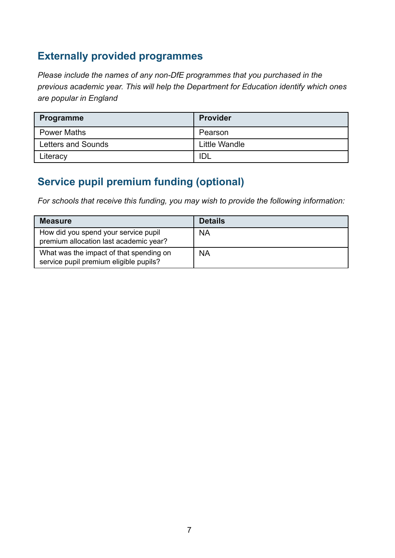## **Externally provided programmes**

*Please include the names of any non-DfE programmes that you purchased in the previous academic year. This will help the Department for Education identify which ones are popular in England*

| Programme          | <b>Provider</b> |
|--------------------|-----------------|
| <b>Power Maths</b> | Pearson         |
| Letters and Sounds | Little Wandle   |
| Literacy           | IDL             |

## **Service pupil premium funding (optional)**

*For schools that receive this funding, you may wish to provide the following information:*

| <b>Measure</b>                                                                    | <b>Details</b> |
|-----------------------------------------------------------------------------------|----------------|
| How did you spend your service pupil<br>premium allocation last academic year?    | <b>NA</b>      |
| What was the impact of that spending on<br>service pupil premium eligible pupils? | <b>NA</b>      |